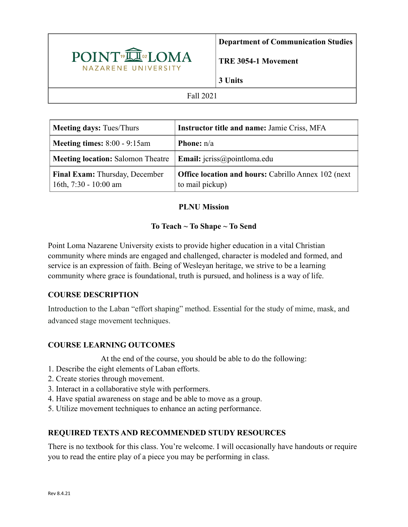

**Department of Communication Studies** 

**TRE 3054-1 Movement**

**3 Units**

#### Fall 2021

| <b>Meeting days: Tues/Thurs</b>                         | <b>Instructor title and name: Jamie Criss, MFA</b>                             |
|---------------------------------------------------------|--------------------------------------------------------------------------------|
| <b>Meeting times:</b> 8:00 - 9:15am                     | <b>Phone:</b> $n/a$                                                            |
| <b>Meeting location:</b> Salomon Theatre                | <b>Email:</b> $icriss@pointloma.edu$                                           |
| Final Exam: Thursday, December<br>16th, 7:30 - 10:00 am | <b>Office location and hours:</b> Cabrillo Annex 102 (next)<br>to mail pickup) |

### **PLNU Mission**

# **To Teach ~ To Shape ~ To Send**

Point Loma Nazarene University exists to provide higher education in a vital Christian community where minds are engaged and challenged, character is modeled and formed, and service is an expression of faith. Being of Wesleyan heritage, we strive to be a learning community where grace is foundational, truth is pursued, and holiness is a way of life.

# **COURSE DESCRIPTION**

Introduction to the Laban "effort shaping" method. Essential for the study of mime, mask, and advanced stage movement techniques.

# **COURSE LEARNING OUTCOMES**

At the end of the course, you should be able to do the following:

- 1. Describe the eight elements of Laban efforts.
- 2. Create stories through movement.
- 3. Interact in a collaborative style with performers.
- 4. Have spatial awareness on stage and be able to move as a group.
- 5. Utilize movement techniques to enhance an acting performance.

### **REQUIRED TEXTS AND RECOMMENDED STUDY RESOURCES**

There is no textbook for this class. You're welcome. I will occasionally have handouts or require you to read the entire play of a piece you may be performing in class.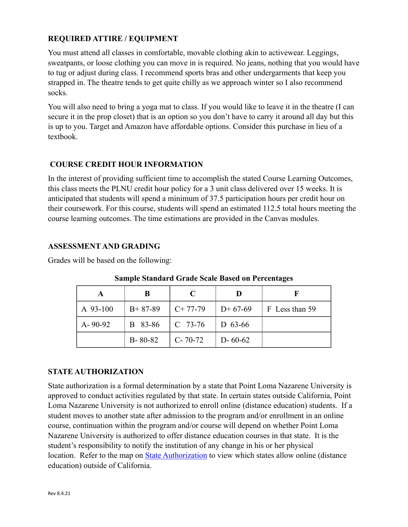## **REQUIRED ATTIRE / EQUIPMENT**

You must attend all classes in comfortable, movable clothing akin to activewear. Leggings, sweatpants, or loose clothing you can move in is required. No jeans, nothing that you would have to tug or adjust during class. I recommend sports bras and other undergarments that keep you strapped in. The theatre tends to get quite chilly as we approach winter so I also recommend socks.

You will also need to bring a yoga mat to class. If you would like to leave it in the theatre (I can secure it in the prop closet) that is an option so you don't have to carry it around all day but this is up to you. Target and Amazon have affordable options. Consider this purchase in lieu of a textbook.

### **COURSE CREDIT HOUR INFORMATION**

In the interest of providing sufficient time to accomplish the stated Course Learning Outcomes, this class meets the PLNU credit hour policy for a 3 unit class delivered over 15 weeks. It is anticipated that students will spend a minimum of 37.5 participation hours per credit hour on their coursework. For this course, students will spend an estimated 112.5 total hours meeting the course learning outcomes. The time estimations are provided in the Canvas modules.

#### **ASSESSMENT AND GRADING**

Grades will be based on the following:

|               | В             | $\mathcal{C}$ |                |                |
|---------------|---------------|---------------|----------------|----------------|
| A 93-100      | $B+87-89$     | $C+77-79$     | $D+67-69$      | F Less than 59 |
| $A - 90 - 92$ | B 83-86       | $C$ 73-76     | $\mid$ D 63-66 |                |
|               | $B - 80 - 82$ | $C - 70 - 72$ | $D - 60 - 62$  |                |

**Sample Standard Grade Scale Based on Percentages**

### **STATE AUTHORIZATION**

State authorization is a formal determination by a state that Point Loma Nazarene University is approved to conduct activities regulated by that state. In certain states outside California, Point Loma Nazarene University is not authorized to enroll online (distance education) students. If a student moves to another state after admission to the program and/or enrollment in an online course, continuation within the program and/or course will depend on whether Point Loma Nazarene University is authorized to offer distance education courses in that state. It is the student's responsibility to notify the institution of any change in his or her physical location. Refer to the map on [State Authorization](https://www.pointloma.edu/offices/office-institutional-effectiveness-research/disclosures) to view which states allow online (distance education) outside of California.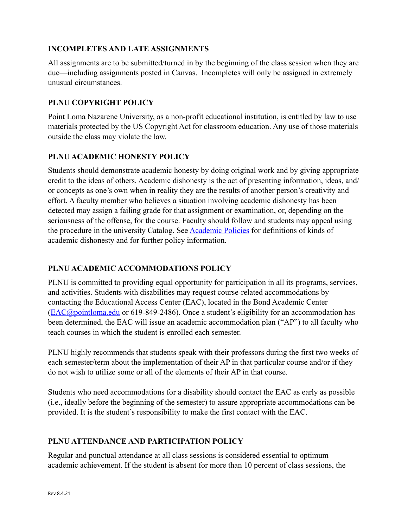### **INCOMPLETES AND LATE ASSIGNMENTS**

All assignments are to be submitted/turned in by the beginning of the class session when they are due—including assignments posted in Canvas. Incompletes will only be assigned in extremely unusual circumstances.

## **PLNU COPYRIGHT POLICY**

Point Loma Nazarene University, as a non-profit educational institution, is entitled by law to use materials protected by the US Copyright Act for classroom education. Any use of those materials outside the class may violate the law.

### **PLNU ACADEMIC HONESTY POLICY**

Students should demonstrate academic honesty by doing original work and by giving appropriate credit to the ideas of others. Academic dishonesty is the act of presenting information, ideas, and/ or concepts as one's own when in reality they are the results of another person's creativity and effort. A faculty member who believes a situation involving academic dishonesty has been detected may assign a failing grade for that assignment or examination, or, depending on the seriousness of the offense, for the course. Faculty should follow and students may appeal using the procedure in the university Catalog. See [Academic Policies](https://catalog.pointloma.edu/content.php?catoid=52&navoid=2919#Academic_Honesty) for definitions of kinds of academic dishonesty and for further policy information.

### **PLNU ACADEMIC ACCOMMODATIONS POLICY**

PLNU is committed to providing equal opportunity for participation in all its programs, services, and activities. Students with disabilities may request course-related accommodations by contacting the Educational Access Center (EAC), located in the Bond Academic Center ([EAC@pointloma.edu](mailto:EAC@pointloma.edu) or 619-849-2486). Once a student's eligibility for an accommodation has been determined, the EAC will issue an academic accommodation plan ("AP") to all faculty who teach courses in which the student is enrolled each semester.

PLNU highly recommends that students speak with their professors during the first two weeks of each semester/term about the implementation of their AP in that particular course and/or if they do not wish to utilize some or all of the elements of their AP in that course.

Students who need accommodations for a disability should contact the EAC as early as possible (i.e., ideally before the beginning of the semester) to assure appropriate accommodations can be provided. It is the student's responsibility to make the first contact with the EAC.

### **PLNU ATTENDANCE AND PARTICIPATION POLICY**

Regular and punctual attendance at all class sessions is considered essential to optimum academic achievement. If the student is absent for more than 10 percent of class sessions, the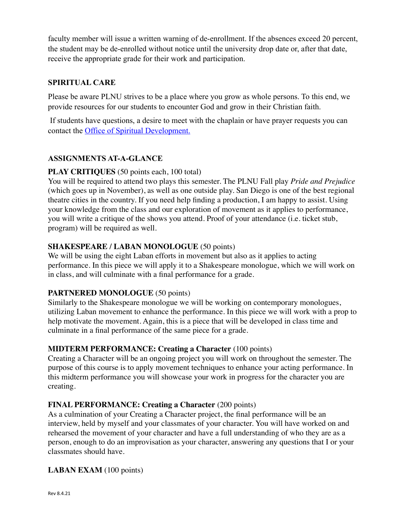faculty member will issue a written warning of de-enrollment. If the absences exceed 20 percent, the student may be de-enrolled without notice until the university drop date or, after that date, receive the appropriate grade for their work and participation.

### **SPIRITUAL CARE**

Please be aware PLNU strives to be a place where you grow as whole persons. To this end, we provide resources for our students to encounter God and grow in their Christian faith.

 If students have questions, a desire to meet with the chaplain or have prayer requests you can contact the Office of Spiritual Development.

## **ASSIGNMENTS AT-A-GLANCE**

### **PLAY CRITIQUES** (50 points each, 100 total)

You will be required to attend two plays this semester. The PLNU Fall play *Pride and Prejudice*  (which goes up in November), as well as one outside play. San Diego is one of the best regional theatre cities in the country. If you need help finding a production, I am happy to assist. Using your knowledge from the class and our exploration of movement as it applies to performance, you will write a critique of the shows you attend. Proof of your attendance (i.e. ticket stub, program) will be required as well.

### **SHAKESPEARE / LABAN MONOLOGUE** (50 points)

We will be using the eight Laban efforts in movement but also as it applies to acting performance. In this piece we will apply it to a Shakespeare monologue, which we will work on in class, and will culminate with a final performance for a grade.

### **PARTNERED MONOLOGUE** (50 points)

Similarly to the Shakespeare monologue we will be working on contemporary monologues, utilizing Laban movement to enhance the performance. In this piece we will work with a prop to help motivate the movement. Again, this is a piece that will be developed in class time and culminate in a final performance of the same piece for a grade.

### **MIDTERM PERFORMANCE: Creating a Character** (100 points)

Creating a Character will be an ongoing project you will work on throughout the semester. The purpose of this course is to apply movement techniques to enhance your acting performance. In this midterm performance you will showcase your work in progress for the character you are creating.

### **FINAL PERFORMANCE: Creating a Character** (200 points)

As a culmination of your Creating a Character project, the final performance will be an interview, held by myself and your classmates of your character. You will have worked on and rehearsed the movement of your character and have a full understanding of who they are as a person, enough to do an improvisation as your character, answering any questions that I or your classmates should have.

### **LABAN EXAM** (100 points)